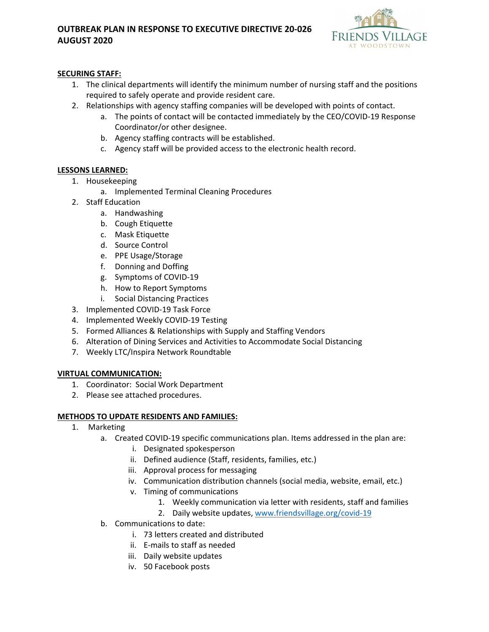# **OUTBREAK PLAN IN RESPONSE TO EXECUTIVE DIRECTIVE 20-026 AUGUST 2020**



# **SECURING STAFF:**

- 1. The clinical departments will identify the minimum number of nursing staff and the positions required to safely operate and provide resident care.
- 2. Relationships with agency staffing companies will be developed with points of contact.
	- a. The points of contact will be contacted immediately by the CEO/COVID-19 Response Coordinator/or other designee.
	- b. Agency staffing contracts will be established.
	- c. Agency staff will be provided access to the electronic health record.

#### **LESSONS LEARNED:**

- 1. Housekeeping
	- a. Implemented Terminal Cleaning Procedures
- 2. Staff Education
	- a. Handwashing
	- b. Cough Etiquette
	- c. Mask Etiquette
	- d. Source Control
	- e. PPE Usage/Storage
	- f. Donning and Doffing
	- g. Symptoms of COVID-19
	- h. How to Report Symptoms
	- i. Social Distancing Practices
- 3. Implemented COVID-19 Task Force
- 4. Implemented Weekly COVID-19 Testing
- 5. Formed Alliances & Relationships with Supply and Staffing Vendors
- 6. Alteration of Dining Services and Activities to Accommodate Social Distancing
- 7. Weekly LTC/Inspira Network Roundtable

# **VIRTUAL COMMUNICATION:**

- 1. Coordinator: Social Work Department
- 2. Please see attached procedures.

#### **METHODS TO UPDATE RESIDENTS AND FAMILIES:**

- 1. Marketing
	- a. Created COVID-19 specific communications plan. Items addressed in the plan are:
		- i. Designated spokesperson
		- ii. Defined audience (Staff, residents, families, etc.)
		- iii. Approval process for messaging
		- iv. Communication distribution channels (social media, website, email, etc.)
		- v. Timing of communications
			- 1. Weekly communication via letter with residents, staff and families
			- 2. Daily website updates, [www.friendsvillage.org/covid-19](http://www.friendsvillage.org/covid-19)
	- b. Communications to date:
		- i. 73 letters created and distributed
		- ii. E-mails to staff as needed
		- iii. Daily website updates
		- iv. 50 Facebook posts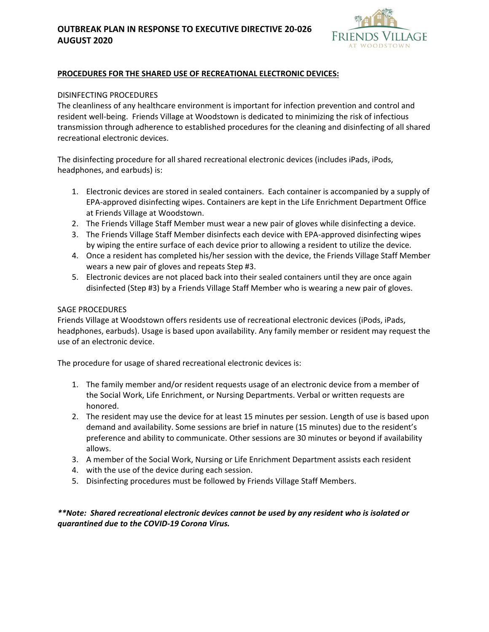# **OUTBREAK PLAN IN RESPONSE TO EXECUTIVE DIRECTIVE 20-026 AUGUST 2020**



### **PROCEDURES FOR THE SHARED USE OF RECREATIONAL ELECTRONIC DEVICES:**

#### DISINFECTING PROCEDURES

The cleanliness of any healthcare environment is important for infection prevention and control and resident well-being. Friends Village at Woodstown is dedicated to minimizing the risk of infectious transmission through adherence to established procedures for the cleaning and disinfecting of all shared recreational electronic devices.

The disinfecting procedure for all shared recreational electronic devices (includes iPads, iPods, headphones, and earbuds) is:

- 1. Electronic devices are stored in sealed containers. Each container is accompanied by a supply of EPA-approved disinfecting wipes. Containers are kept in the Life Enrichment Department Office at Friends Village at Woodstown.
- 2. The Friends Village Staff Member must wear a new pair of gloves while disinfecting a device.
- 3. The Friends Village Staff Member disinfects each device with EPA-approved disinfecting wipes by wiping the entire surface of each device prior to allowing a resident to utilize the device.
- 4. Once a resident has completed his/her session with the device, the Friends Village Staff Member wears a new pair of gloves and repeats Step #3.
- 5. Electronic devices are not placed back into their sealed containers until they are once again disinfected (Step #3) by a Friends Village Staff Member who is wearing a new pair of gloves.

#### SAGE PROCEDURES

Friends Village at Woodstown offers residents use of recreational electronic devices (iPods, iPads, headphones, earbuds). Usage is based upon availability. Any family member or resident may request the use of an electronic device.

The procedure for usage of shared recreational electronic devices is:

- 1. The family member and/or resident requests usage of an electronic device from a member of the Social Work, Life Enrichment, or Nursing Departments. Verbal or written requests are honored.
- 2. The resident may use the device for at least 15 minutes per session. Length of use is based upon demand and availability. Some sessions are brief in nature (15 minutes) due to the resident's preference and ability to communicate. Other sessions are 30 minutes or beyond if availability allows.
- 3. A member of the Social Work, Nursing or Life Enrichment Department assists each resident
- 4. with the use of the device during each session.
- 5. Disinfecting procedures must be followed by Friends Village Staff Members.

*\*\*Note: Shared recreational electronic devices cannot be used by any resident who is isolated or quarantined due to the COVID-19 Corona Virus.*